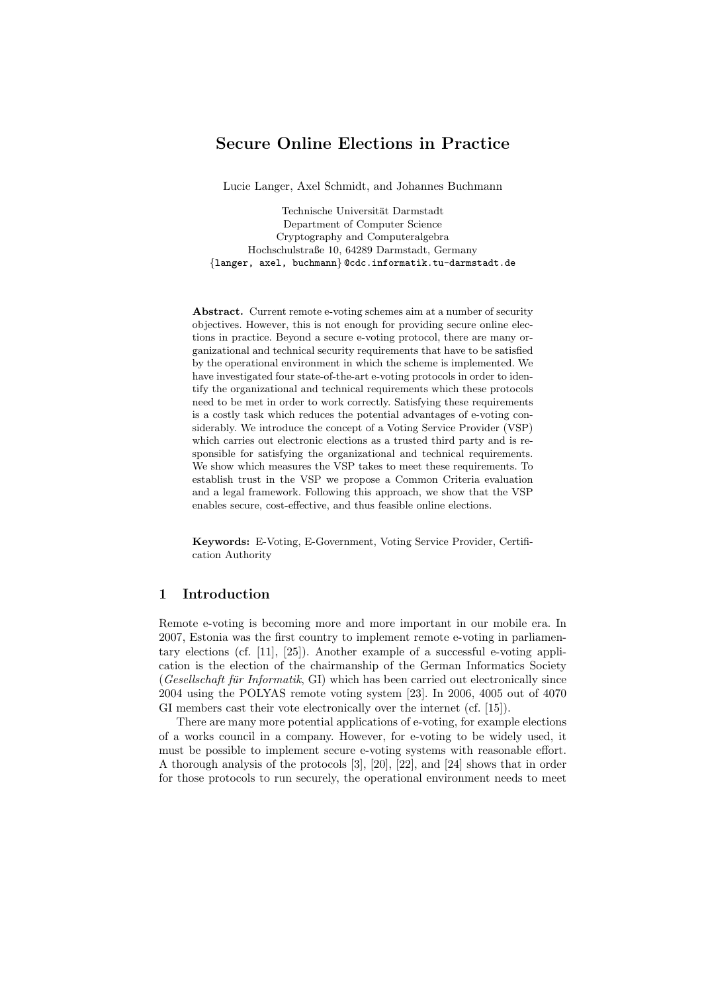# Secure Online Elections in Practice

Lucie Langer, Axel Schmidt, and Johannes Buchmann

Technische Universität Darmstadt Department of Computer Science Cryptography and Computeralgebra Hochschulstraße 10, 64289 Darmstadt, Germany {langer, axel, buchmann} @cdc.informatik.tu-darmstadt.de

Abstract. Current remote e-voting schemes aim at a number of security objectives. However, this is not enough for providing secure online elections in practice. Beyond a secure e-voting protocol, there are many organizational and technical security requirements that have to be satisfied by the operational environment in which the scheme is implemented. We have investigated four state-of-the-art e-voting protocols in order to identify the organizational and technical requirements which these protocols need to be met in order to work correctly. Satisfying these requirements is a costly task which reduces the potential advantages of e-voting considerably. We introduce the concept of a Voting Service Provider (VSP) which carries out electronic elections as a trusted third party and is responsible for satisfying the organizational and technical requirements. We show which measures the VSP takes to meet these requirements. To establish trust in the VSP we propose a Common Criteria evaluation and a legal framework. Following this approach, we show that the VSP enables secure, cost-effective, and thus feasible online elections.

Keywords: E-Voting, E-Government, Voting Service Provider, Certification Authority

#### 1 Introduction

Remote e-voting is becoming more and more important in our mobile era. In 2007, Estonia was the first country to implement remote e-voting in parliamentary elections (cf. [11], [25]). Another example of a successful e-voting application is the election of the chairmanship of the German Informatics Society  $(Gesellschaft für Informatik, GI)$  which has been carried out electronically since 2004 using the POLYAS remote voting system [23]. In 2006, 4005 out of 4070 GI members cast their vote electronically over the internet (cf. [15]).

There are many more potential applications of e-voting, for example elections of a works council in a company. However, for e-voting to be widely used, it must be possible to implement secure e-voting systems with reasonable effort. A thorough analysis of the protocols [3], [20], [22], and [24] shows that in order for those protocols to run securely, the operational environment needs to meet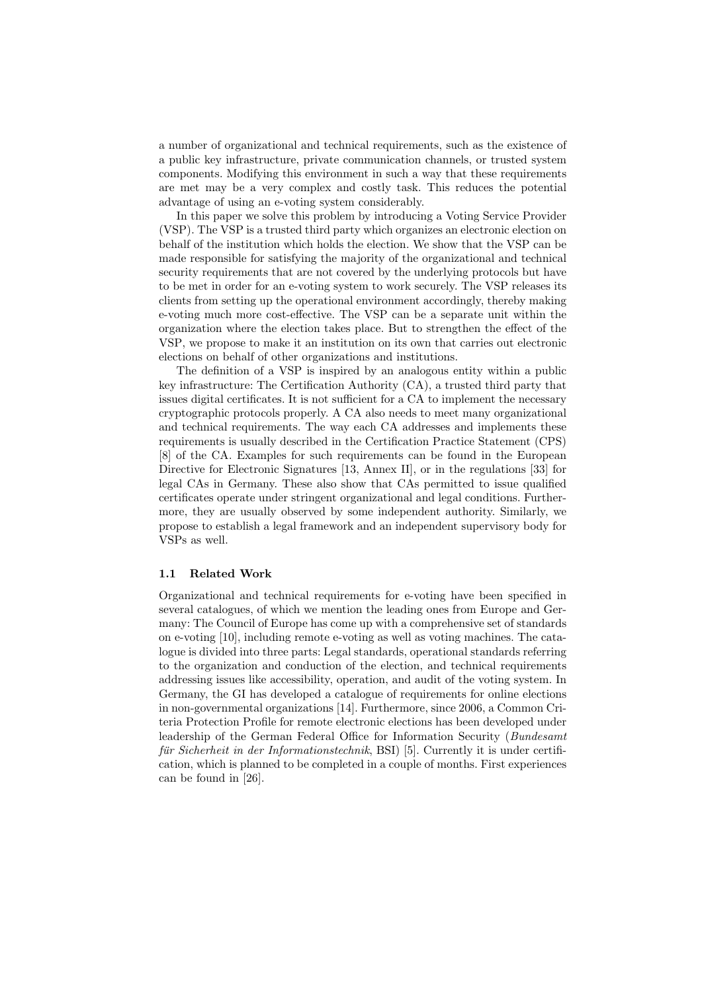a number of organizational and technical requirements, such as the existence of a public key infrastructure, private communication channels, or trusted system components. Modifying this environment in such a way that these requirements are met may be a very complex and costly task. This reduces the potential advantage of using an e-voting system considerably.

In this paper we solve this problem by introducing a Voting Service Provider (VSP). The VSP is a trusted third party which organizes an electronic election on behalf of the institution which holds the election. We show that the VSP can be made responsible for satisfying the majority of the organizational and technical security requirements that are not covered by the underlying protocols but have to be met in order for an e-voting system to work securely. The VSP releases its clients from setting up the operational environment accordingly, thereby making e-voting much more cost-effective. The VSP can be a separate unit within the organization where the election takes place. But to strengthen the effect of the VSP, we propose to make it an institution on its own that carries out electronic elections on behalf of other organizations and institutions.

The definition of a VSP is inspired by an analogous entity within a public key infrastructure: The Certification Authority (CA), a trusted third party that issues digital certificates. It is not sufficient for a CA to implement the necessary cryptographic protocols properly. A CA also needs to meet many organizational and technical requirements. The way each CA addresses and implements these requirements is usually described in the Certification Practice Statement (CPS) [8] of the CA. Examples for such requirements can be found in the European Directive for Electronic Signatures [13, Annex II], or in the regulations [33] for legal CAs in Germany. These also show that CAs permitted to issue qualified certificates operate under stringent organizational and legal conditions. Furthermore, they are usually observed by some independent authority. Similarly, we propose to establish a legal framework and an independent supervisory body for VSPs as well.

#### 1.1 Related Work

Organizational and technical requirements for e-voting have been specified in several catalogues, of which we mention the leading ones from Europe and Germany: The Council of Europe has come up with a comprehensive set of standards on e-voting [10], including remote e-voting as well as voting machines. The catalogue is divided into three parts: Legal standards, operational standards referring to the organization and conduction of the election, and technical requirements addressing issues like accessibility, operation, and audit of the voting system. In Germany, the GI has developed a catalogue of requirements for online elections in non-governmental organizations [14]. Furthermore, since 2006, a Common Criteria Protection Profile for remote electronic elections has been developed under leadership of the German Federal Office for Information Security (Bundesamt für Sicherheit in der Informationstechnik, BSI) [5]. Currently it is under certification, which is planned to be completed in a couple of months. First experiences can be found in [26].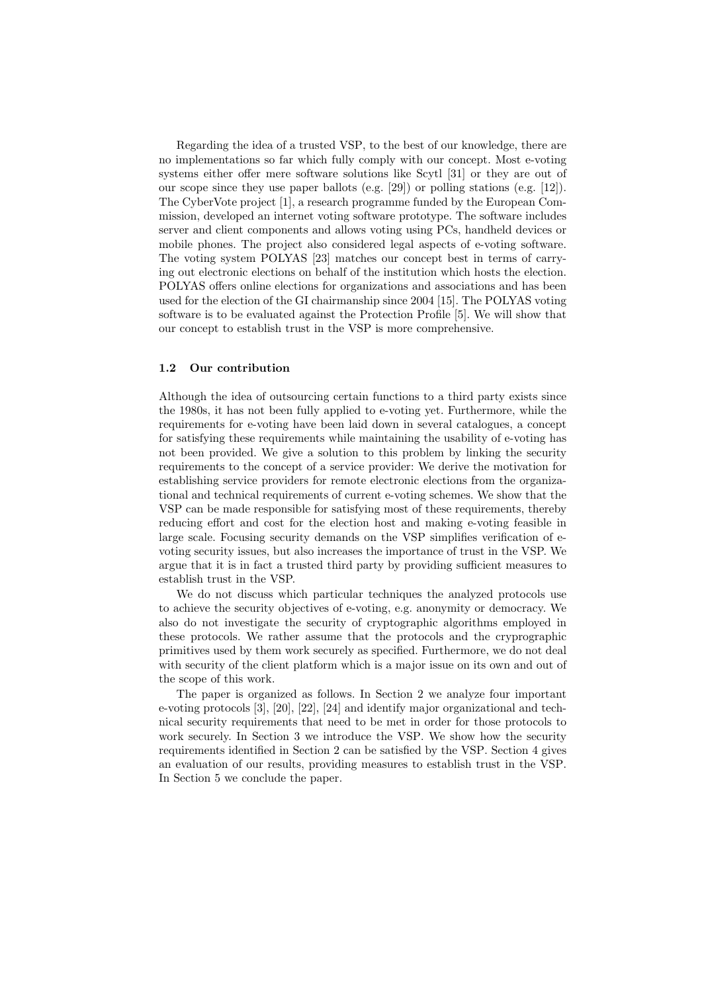Regarding the idea of a trusted VSP, to the best of our knowledge, there are no implementations so far which fully comply with our concept. Most e-voting systems either offer mere software solutions like Scytl [31] or they are out of our scope since they use paper ballots (e.g. [29]) or polling stations (e.g. [12]). The CyberVote project [1], a research programme funded by the European Commission, developed an internet voting software prototype. The software includes server and client components and allows voting using PCs, handheld devices or mobile phones. The project also considered legal aspects of e-voting software. The voting system POLYAS [23] matches our concept best in terms of carrying out electronic elections on behalf of the institution which hosts the election. POLYAS offers online elections for organizations and associations and has been used for the election of the GI chairmanship since 2004 [15]. The POLYAS voting software is to be evaluated against the Protection Profile [5]. We will show that our concept to establish trust in the VSP is more comprehensive.

#### 1.2 Our contribution

Although the idea of outsourcing certain functions to a third party exists since the 1980s, it has not been fully applied to e-voting yet. Furthermore, while the requirements for e-voting have been laid down in several catalogues, a concept for satisfying these requirements while maintaining the usability of e-voting has not been provided. We give a solution to this problem by linking the security requirements to the concept of a service provider: We derive the motivation for establishing service providers for remote electronic elections from the organizational and technical requirements of current e-voting schemes. We show that the VSP can be made responsible for satisfying most of these requirements, thereby reducing effort and cost for the election host and making e-voting feasible in large scale. Focusing security demands on the VSP simplifies verification of evoting security issues, but also increases the importance of trust in the VSP. We argue that it is in fact a trusted third party by providing sufficient measures to establish trust in the VSP.

We do not discuss which particular techniques the analyzed protocols use to achieve the security objectives of e-voting, e.g. anonymity or democracy. We also do not investigate the security of cryptographic algorithms employed in these protocols. We rather assume that the protocols and the cryprographic primitives used by them work securely as specified. Furthermore, we do not deal with security of the client platform which is a major issue on its own and out of the scope of this work.

The paper is organized as follows. In Section 2 we analyze four important e-voting protocols [3], [20], [22], [24] and identify major organizational and technical security requirements that need to be met in order for those protocols to work securely. In Section 3 we introduce the VSP. We show how the security requirements identified in Section 2 can be satisfied by the VSP. Section 4 gives an evaluation of our results, providing measures to establish trust in the VSP. In Section 5 we conclude the paper.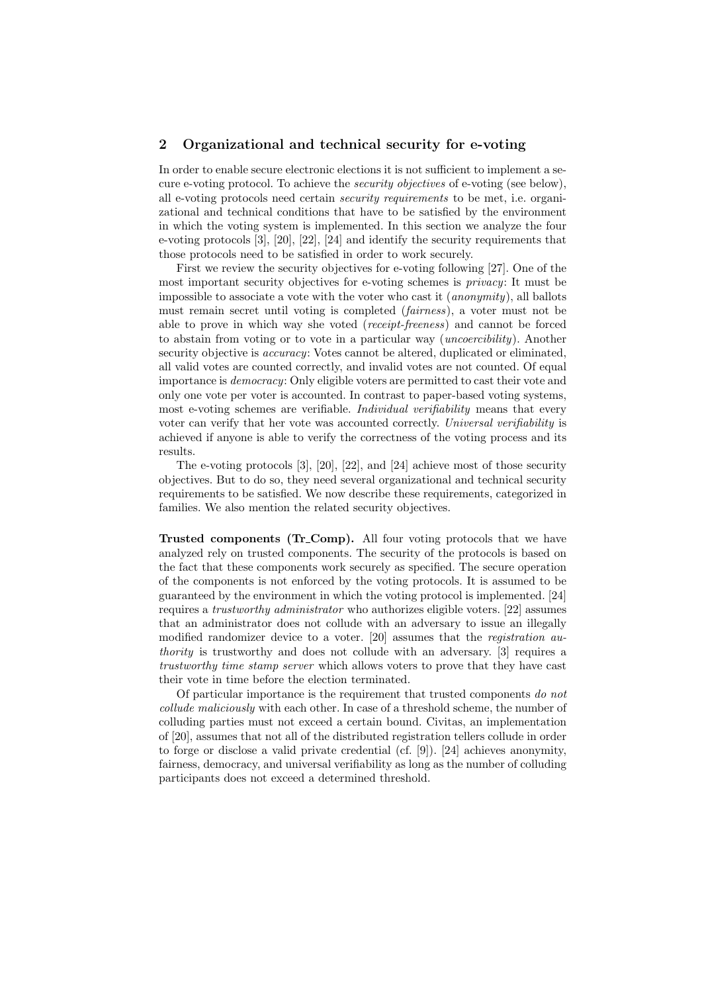#### 2 Organizational and technical security for e-voting

In order to enable secure electronic elections it is not sufficient to implement a secure e-voting protocol. To achieve the security objectives of e-voting (see below), all e-voting protocols need certain security requirements to be met, i.e. organizational and technical conditions that have to be satisfied by the environment in which the voting system is implemented. In this section we analyze the four e-voting protocols [3], [20], [22], [24] and identify the security requirements that those protocols need to be satisfied in order to work securely.

First we review the security objectives for e-voting following [27]. One of the most important security objectives for e-voting schemes is privacy: It must be impossible to associate a vote with the voter who cast it (anonymity), all ballots must remain secret until voting is completed (fairness), a voter must not be able to prove in which way she voted (receipt-freeness) and cannot be forced to abstain from voting or to vote in a particular way (uncoercibility). Another security objective is *accuracy*: Votes cannot be altered, duplicated or eliminated, all valid votes are counted correctly, and invalid votes are not counted. Of equal importance is democracy: Only eligible voters are permitted to cast their vote and only one vote per voter is accounted. In contrast to paper-based voting systems, most e-voting schemes are verifiable. *Individual verifiability* means that every voter can verify that her vote was accounted correctly. Universal verifiability is achieved if anyone is able to verify the correctness of the voting process and its results.

The e-voting protocols [3], [20], [22], and [24] achieve most of those security objectives. But to do so, they need several organizational and technical security requirements to be satisfied. We now describe these requirements, categorized in families. We also mention the related security objectives.

Trusted components (Tr Comp). All four voting protocols that we have analyzed rely on trusted components. The security of the protocols is based on the fact that these components work securely as specified. The secure operation of the components is not enforced by the voting protocols. It is assumed to be guaranteed by the environment in which the voting protocol is implemented. [24] requires a trustworthy administrator who authorizes eligible voters. [22] assumes that an administrator does not collude with an adversary to issue an illegally modified randomizer device to a voter. [20] assumes that the *registration au*thority is trustworthy and does not collude with an adversary. [3] requires a trustworthy time stamp server which allows voters to prove that they have cast their vote in time before the election terminated.

Of particular importance is the requirement that trusted components do not collude maliciously with each other. In case of a threshold scheme, the number of colluding parties must not exceed a certain bound. Civitas, an implementation of [20], assumes that not all of the distributed registration tellers collude in order to forge or disclose a valid private credential (cf. [9]). [24] achieves anonymity, fairness, democracy, and universal verifiability as long as the number of colluding participants does not exceed a determined threshold.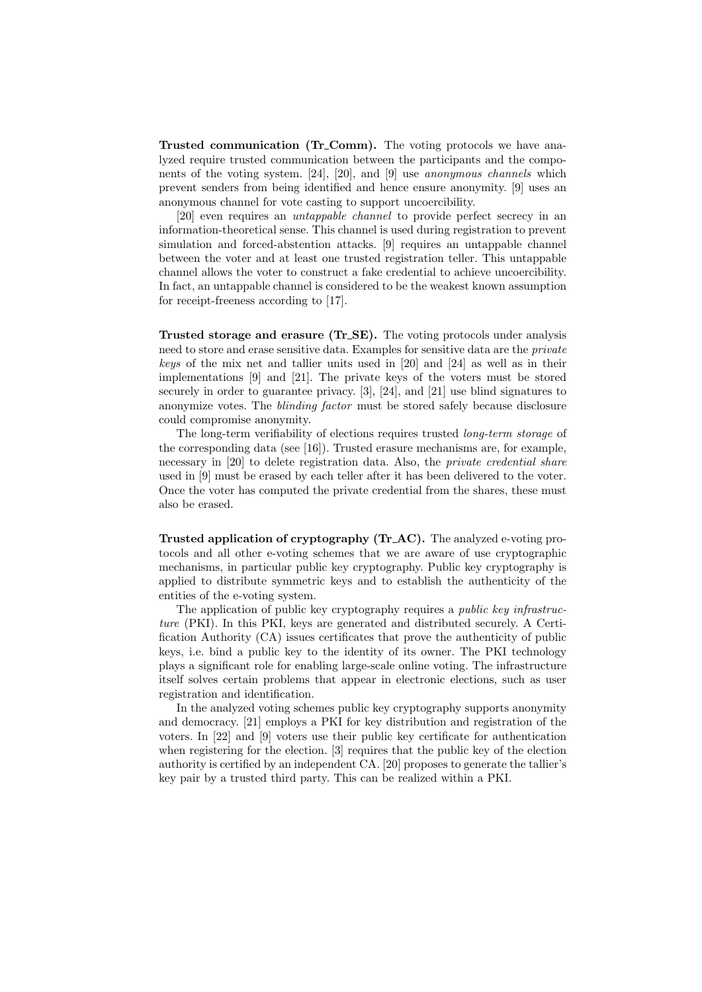Trusted communication (Tr\_Comm). The voting protocols we have analyzed require trusted communication between the participants and the components of the voting system. [24], [20], and [9] use anonymous channels which prevent senders from being identified and hence ensure anonymity. [9] uses an anonymous channel for vote casting to support uncoercibility.

[20] even requires an untappable channel to provide perfect secrecy in an information-theoretical sense. This channel is used during registration to prevent simulation and forced-abstention attacks. [9] requires an untappable channel between the voter and at least one trusted registration teller. This untappable channel allows the voter to construct a fake credential to achieve uncoercibility. In fact, an untappable channel is considered to be the weakest known assumption for receipt-freeness according to [17].

Trusted storage and erasure (Tr<sub>-SE</sub>). The voting protocols under analysis need to store and erase sensitive data. Examples for sensitive data are the private keys of the mix net and tallier units used in [20] and [24] as well as in their implementations [9] and [21]. The private keys of the voters must be stored securely in order to guarantee privacy. [3], [24], and [21] use blind signatures to anonymize votes. The blinding factor must be stored safely because disclosure could compromise anonymity.

The long-term verifiability of elections requires trusted *long-term storage* of the corresponding data (see [16]). Trusted erasure mechanisms are, for example, necessary in [20] to delete registration data. Also, the private credential share used in [9] must be erased by each teller after it has been delivered to the voter. Once the voter has computed the private credential from the shares, these must also be erased.

Trusted application of cryptography (Tr AC). The analyzed e-voting protocols and all other e-voting schemes that we are aware of use cryptographic mechanisms, in particular public key cryptography. Public key cryptography is applied to distribute symmetric keys and to establish the authenticity of the entities of the e-voting system.

The application of public key cryptography requires a public key infrastructure (PKI). In this PKI, keys are generated and distributed securely. A Certification Authority (CA) issues certificates that prove the authenticity of public keys, i.e. bind a public key to the identity of its owner. The PKI technology plays a significant role for enabling large-scale online voting. The infrastructure itself solves certain problems that appear in electronic elections, such as user registration and identification.

In the analyzed voting schemes public key cryptography supports anonymity and democracy. [21] employs a PKI for key distribution and registration of the voters. In [22] and [9] voters use their public key certificate for authentication when registering for the election. [3] requires that the public key of the election authority is certified by an independent CA. [20] proposes to generate the tallier's key pair by a trusted third party. This can be realized within a PKI.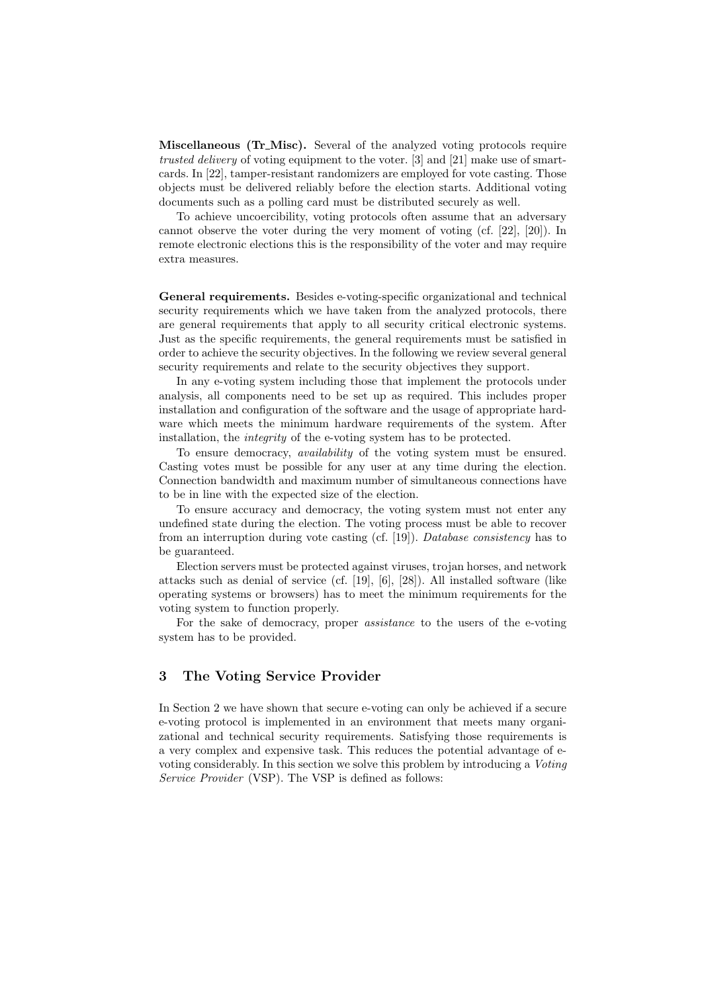Miscellaneous (Tr\_Misc). Several of the analyzed voting protocols require trusted delivery of voting equipment to the voter. [3] and [21] make use of smartcards. In [22], tamper-resistant randomizers are employed for vote casting. Those objects must be delivered reliably before the election starts. Additional voting documents such as a polling card must be distributed securely as well.

To achieve uncoercibility, voting protocols often assume that an adversary cannot observe the voter during the very moment of voting (cf. [22], [20]). In remote electronic elections this is the responsibility of the voter and may require extra measures.

General requirements. Besides e-voting-specific organizational and technical security requirements which we have taken from the analyzed protocols, there are general requirements that apply to all security critical electronic systems. Just as the specific requirements, the general requirements must be satisfied in order to achieve the security objectives. In the following we review several general security requirements and relate to the security objectives they support.

In any e-voting system including those that implement the protocols under analysis, all components need to be set up as required. This includes proper installation and configuration of the software and the usage of appropriate hardware which meets the minimum hardware requirements of the system. After installation, the integrity of the e-voting system has to be protected.

To ensure democracy, availability of the voting system must be ensured. Casting votes must be possible for any user at any time during the election. Connection bandwidth and maximum number of simultaneous connections have to be in line with the expected size of the election.

To ensure accuracy and democracy, the voting system must not enter any undefined state during the election. The voting process must be able to recover from an interruption during vote casting (cf. [19]). Database consistency has to be guaranteed.

Election servers must be protected against viruses, trojan horses, and network attacks such as denial of service (cf. [19], [6], [28]). All installed software (like operating systems or browsers) has to meet the minimum requirements for the voting system to function properly.

For the sake of democracy, proper assistance to the users of the e-voting system has to be provided.

# 3 The Voting Service Provider

In Section 2 we have shown that secure e-voting can only be achieved if a secure e-voting protocol is implemented in an environment that meets many organizational and technical security requirements. Satisfying those requirements is a very complex and expensive task. This reduces the potential advantage of evoting considerably. In this section we solve this problem by introducing a Voting Service Provider (VSP). The VSP is defined as follows: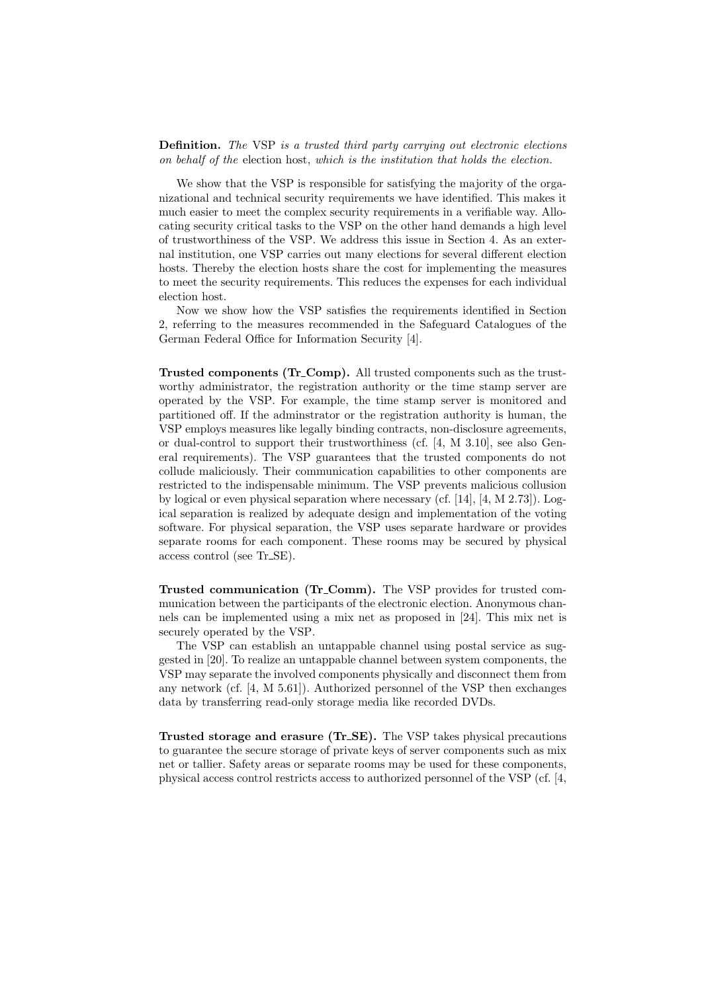Definition. The VSP is a trusted third party carrying out electronic elections on behalf of the election host, which is the institution that holds the election.

We show that the VSP is responsible for satisfying the majority of the organizational and technical security requirements we have identified. This makes it much easier to meet the complex security requirements in a verifiable way. Allocating security critical tasks to the VSP on the other hand demands a high level of trustworthiness of the VSP. We address this issue in Section 4. As an external institution, one VSP carries out many elections for several different election hosts. Thereby the election hosts share the cost for implementing the measures to meet the security requirements. This reduces the expenses for each individual election host.

Now we show how the VSP satisfies the requirements identified in Section 2, referring to the measures recommended in the Safeguard Catalogues of the German Federal Office for Information Security [4].

Trusted components (Tr Comp). All trusted components such as the trustworthy administrator, the registration authority or the time stamp server are operated by the VSP. For example, the time stamp server is monitored and partitioned off. If the adminstrator or the registration authority is human, the VSP employs measures like legally binding contracts, non-disclosure agreements, or dual-control to support their trustworthiness (cf. [4, M 3.10], see also General requirements). The VSP guarantees that the trusted components do not collude maliciously. Their communication capabilities to other components are restricted to the indispensable minimum. The VSP prevents malicious collusion by logical or even physical separation where necessary (cf. [14], [4, M 2.73]). Logical separation is realized by adequate design and implementation of the voting software. For physical separation, the VSP uses separate hardware or provides separate rooms for each component. These rooms may be secured by physical access control (see Tr SE).

Trusted communication (Tr Comm). The VSP provides for trusted communication between the participants of the electronic election. Anonymous channels can be implemented using a mix net as proposed in [24]. This mix net is securely operated by the VSP.

The VSP can establish an untappable channel using postal service as suggested in [20]. To realize an untappable channel between system components, the VSP may separate the involved components physically and disconnect them from any network (cf. [4, M 5.61]). Authorized personnel of the VSP then exchanges data by transferring read-only storage media like recorded DVDs.

Trusted storage and erasure (Tr SE). The VSP takes physical precautions to guarantee the secure storage of private keys of server components such as mix net or tallier. Safety areas or separate rooms may be used for these components, physical access control restricts access to authorized personnel of the VSP (cf. [4,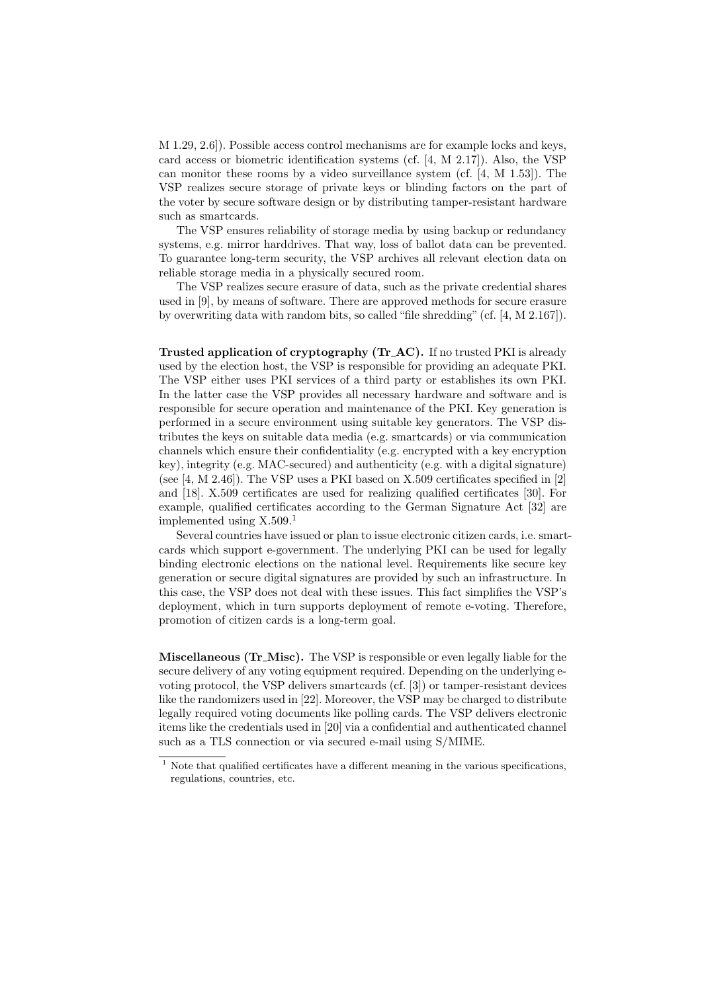M 1.29, 2.6]). Possible access control mechanisms are for example locks and keys, card access or biometric identification systems (cf. [4, M 2.17]). Also, the VSP can monitor these rooms by a video surveillance system (cf. [4, M 1.53]). The VSP realizes secure storage of private keys or blinding factors on the part of the voter by secure software design or by distributing tamper-resistant hardware such as smartcards.

The VSP ensures reliability of storage media by using backup or redundancy systems, e.g. mirror harddrives. That way, loss of ballot data can be prevented. To guarantee long-term security, the VSP archives all relevant election data on reliable storage media in a physically secured room.

The VSP realizes secure erasure of data, such as the private credential shares used in [9], by means of software. There are approved methods for secure erasure by overwriting data with random bits, so called "file shredding" (cf. [4, M 2.167]).

Trusted application of cryptography (Tr AC). If no trusted PKI is already used by the election host, the VSP is responsible for providing an adequate PKI. The VSP either uses PKI services of a third party or establishes its own PKI. In the latter case the VSP provides all necessary hardware and software and is responsible for secure operation and maintenance of the PKI. Key generation is performed in a secure environment using suitable key generators. The VSP distributes the keys on suitable data media (e.g. smartcards) or via communication channels which ensure their confidentiality (e.g. encrypted with a key encryption key), integrity (e.g. MAC-secured) and authenticity (e.g. with a digital signature) (see  $[4, M 2.46]$ ). The VSP uses a PKI based on X.509 certificates specified in  $[2]$ and [18]. X.509 certificates are used for realizing qualified certificates [30]. For example, qualified certificates according to the German Signature Act [32] are implemented using  $X.509<sup>1</sup>$ 

Several countries have issued or plan to issue electronic citizen cards, i.e. smartcards which support e-government. The underlying PKI can be used for legally binding electronic elections on the national level. Requirements like secure key generation or secure digital signatures are provided by such an infrastructure. In this case, the VSP does not deal with these issues. This fact simplifies the VSP's deployment, which in turn supports deployment of remote e-voting. Therefore, promotion of citizen cards is a long-term goal.

Miscellaneous (Tr\_Misc). The VSP is responsible or even legally liable for the secure delivery of any voting equipment required. Depending on the underlying evoting protocol, the VSP delivers smartcards (cf. [3]) or tamper-resistant devices like the randomizers used in [22]. Moreover, the VSP may be charged to distribute legally required voting documents like polling cards. The VSP delivers electronic items like the credentials used in [20] via a confidential and authenticated channel such as a TLS connection or via secured e-mail using S/MIME.

 $^{\rm 1}$  Note that qualified certificates have a different meaning in the various specifications, regulations, countries, etc.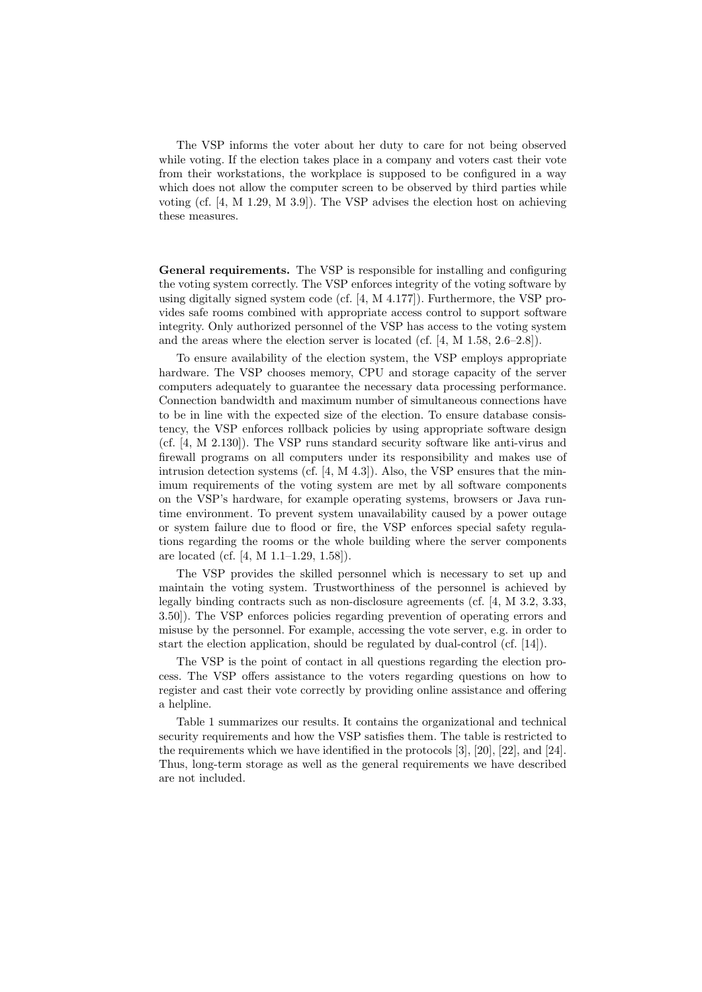The VSP informs the voter about her duty to care for not being observed while voting. If the election takes place in a company and voters cast their vote from their workstations, the workplace is supposed to be configured in a way which does not allow the computer screen to be observed by third parties while voting (cf. [4, M 1.29, M 3.9]). The VSP advises the election host on achieving these measures.

General requirements. The VSP is responsible for installing and configuring the voting system correctly. The VSP enforces integrity of the voting software by using digitally signed system code (cf. [4, M 4.177]). Furthermore, the VSP provides safe rooms combined with appropriate access control to support software integrity. Only authorized personnel of the VSP has access to the voting system and the areas where the election server is located (cf. [4, M 1.58, 2.6–2.8]).

To ensure availability of the election system, the VSP employs appropriate hardware. The VSP chooses memory, CPU and storage capacity of the server computers adequately to guarantee the necessary data processing performance. Connection bandwidth and maximum number of simultaneous connections have to be in line with the expected size of the election. To ensure database consistency, the VSP enforces rollback policies by using appropriate software design (cf. [4, M 2.130]). The VSP runs standard security software like anti-virus and firewall programs on all computers under its responsibility and makes use of intrusion detection systems (cf.  $[4, M, 4.3]$ ). Also, the VSP ensures that the minimum requirements of the voting system are met by all software components on the VSP's hardware, for example operating systems, browsers or Java runtime environment. To prevent system unavailability caused by a power outage or system failure due to flood or fire, the VSP enforces special safety regulations regarding the rooms or the whole building where the server components are located (cf. [4, M 1.1–1.29, 1.58]).

The VSP provides the skilled personnel which is necessary to set up and maintain the voting system. Trustworthiness of the personnel is achieved by legally binding contracts such as non-disclosure agreements (cf. [4, M 3.2, 3.33, 3.50]). The VSP enforces policies regarding prevention of operating errors and misuse by the personnel. For example, accessing the vote server, e.g. in order to start the election application, should be regulated by dual-control (cf. [14]).

The VSP is the point of contact in all questions regarding the election process. The VSP offers assistance to the voters regarding questions on how to register and cast their vote correctly by providing online assistance and offering a helpline.

Table 1 summarizes our results. It contains the organizational and technical security requirements and how the VSP satisfies them. The table is restricted to the requirements which we have identified in the protocols [3], [20], [22], and [24]. Thus, long-term storage as well as the general requirements we have described are not included.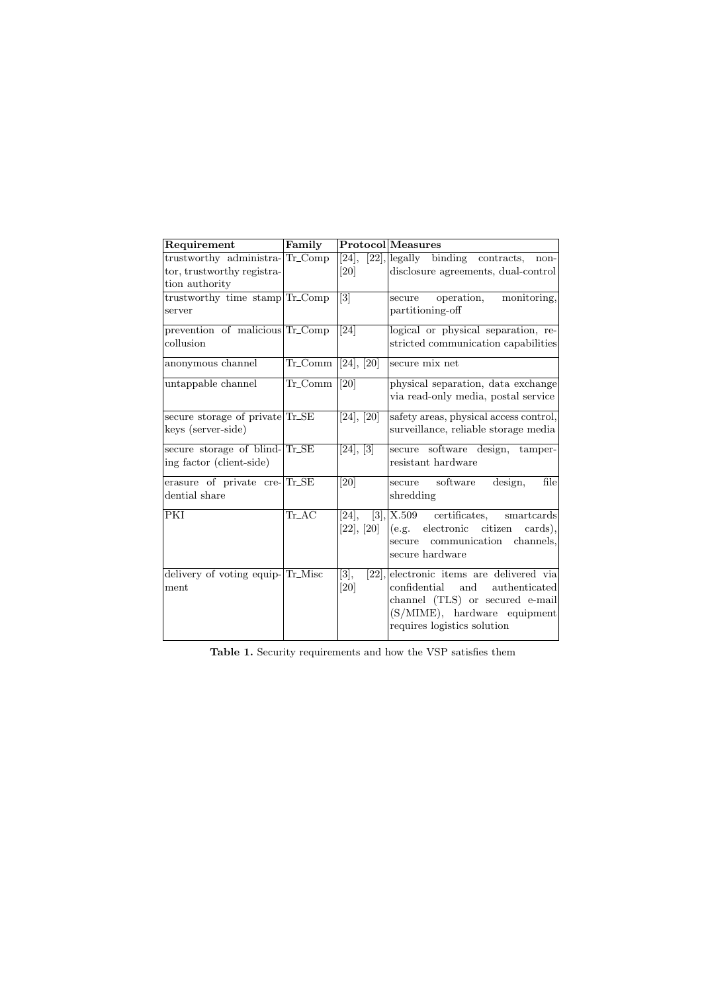| Requirement                      | Family    |                               | <b>Protocol</b> Measures                    |
|----------------------------------|-----------|-------------------------------|---------------------------------------------|
| trustworthy administra-Tr_Comp   |           | [24],                         | $[22]$ , legally binding contracts,<br>non- |
| tor, trustworthy registra-       |           | [20]                          | disclosure agreements, dual-control         |
| tion authority                   |           |                               |                                             |
| trustworthy time stamp Tr_Comp   |           | $\overline{3}$                | operation,<br>monitoring,<br>secure         |
| server                           |           |                               | partitioning-off                            |
| prevention of malicious Tr_Comp  |           | $\overline{[24]}$             | logical or physical separation, re-         |
| collusion                        |           |                               | stricted communication capabilities         |
| anonymous channel                | Tr_Comm   | [24], [20]                    | secure mix net                              |
| untappable channel               | Tr_Comm   | $\overline{20}$               | physical separation, data exchange          |
|                                  |           |                               | via read-only media, postal service         |
| secure storage of private Tr_SE  |           | [24], [20]                    | safety areas, physical access control,      |
| keys (server-side)               |           |                               | surveillance, reliable storage media        |
| secure storage of blind-Tr_SE    |           | [24], [3]                     | secure software design,<br>tamper-          |
| ing factor (client-side)         |           |                               | resistant hardware                          |
| erasure of private cre-Tr_SE     |           | [20]                          | software<br>design,<br>file<br>secure       |
| dential share                    |           |                               | shredding                                   |
| PKI                              | $Tr_{AC}$ | [24],                         | [3], [X.509]<br>certificates,<br>smartcards |
|                                  |           | [22], [20]                    | electronic citizen<br>cards).<br>(e.g.      |
|                                  |           |                               | communication channels,<br>secure           |
|                                  |           |                               | secure hardware                             |
| delivery of voting equip-Tr_Misc |           | $\overline{[3]},$<br>$[22]$ , | electronic items are delivered via          |
| ment                             |           | [20]                          | authenticated<br>confidential<br>and        |
|                                  |           |                               | channel (TLS) or secured e-mail             |
|                                  |           |                               | (S/MIME), hardware equipment                |
|                                  |           |                               | requires logistics solution                 |
|                                  |           |                               |                                             |

Table 1. Security requirements and how the VSP satisfies them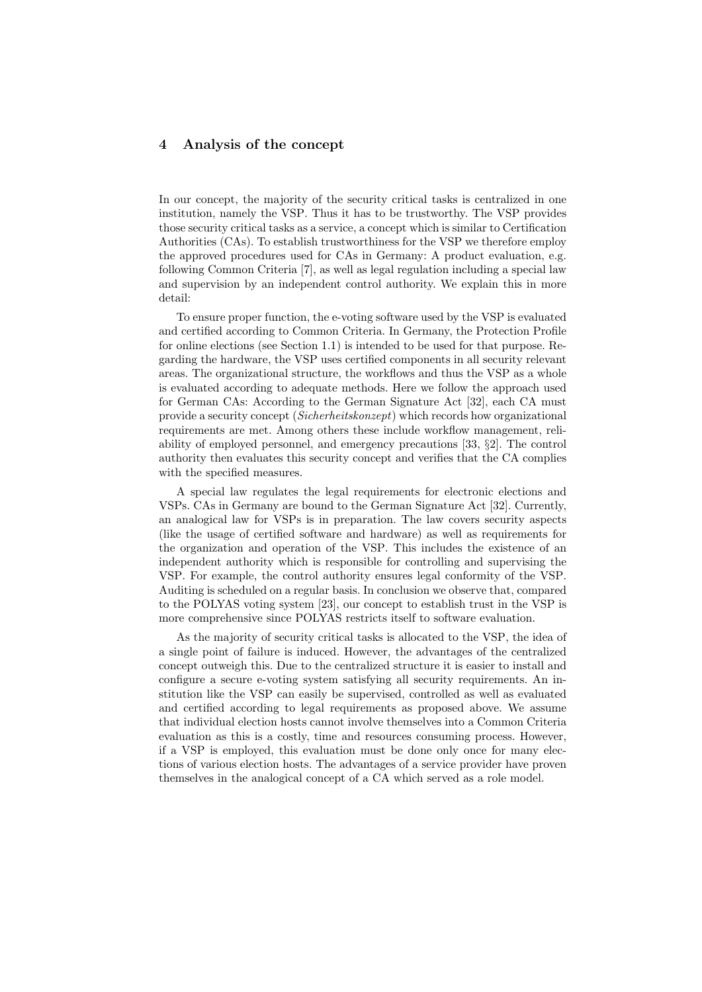## 4 Analysis of the concept

In our concept, the majority of the security critical tasks is centralized in one institution, namely the VSP. Thus it has to be trustworthy. The VSP provides those security critical tasks as a service, a concept which is similar to Certification Authorities (CAs). To establish trustworthiness for the VSP we therefore employ the approved procedures used for CAs in Germany: A product evaluation, e.g. following Common Criteria [7], as well as legal regulation including a special law and supervision by an independent control authority. We explain this in more detail:

To ensure proper function, the e-voting software used by the VSP is evaluated and certified according to Common Criteria. In Germany, the Protection Profile for online elections (see Section 1.1) is intended to be used for that purpose. Regarding the hardware, the VSP uses certified components in all security relevant areas. The organizational structure, the workflows and thus the VSP as a whole is evaluated according to adequate methods. Here we follow the approach used for German CAs: According to the German Signature Act [32], each CA must provide a security concept (Sicherheitskonzept) which records how organizational requirements are met. Among others these include workflow management, reliability of employed personnel, and emergency precautions [33, §2]. The control authority then evaluates this security concept and verifies that the CA complies with the specified measures.

A special law regulates the legal requirements for electronic elections and VSPs. CAs in Germany are bound to the German Signature Act [32]. Currently, an analogical law for VSPs is in preparation. The law covers security aspects (like the usage of certified software and hardware) as well as requirements for the organization and operation of the VSP. This includes the existence of an independent authority which is responsible for controlling and supervising the VSP. For example, the control authority ensures legal conformity of the VSP. Auditing is scheduled on a regular basis. In conclusion we observe that, compared to the POLYAS voting system [23], our concept to establish trust in the VSP is more comprehensive since POLYAS restricts itself to software evaluation.

As the majority of security critical tasks is allocated to the VSP, the idea of a single point of failure is induced. However, the advantages of the centralized concept outweigh this. Due to the centralized structure it is easier to install and configure a secure e-voting system satisfying all security requirements. An institution like the VSP can easily be supervised, controlled as well as evaluated and certified according to legal requirements as proposed above. We assume that individual election hosts cannot involve themselves into a Common Criteria evaluation as this is a costly, time and resources consuming process. However, if a VSP is employed, this evaluation must be done only once for many elections of various election hosts. The advantages of a service provider have proven themselves in the analogical concept of a CA which served as a role model.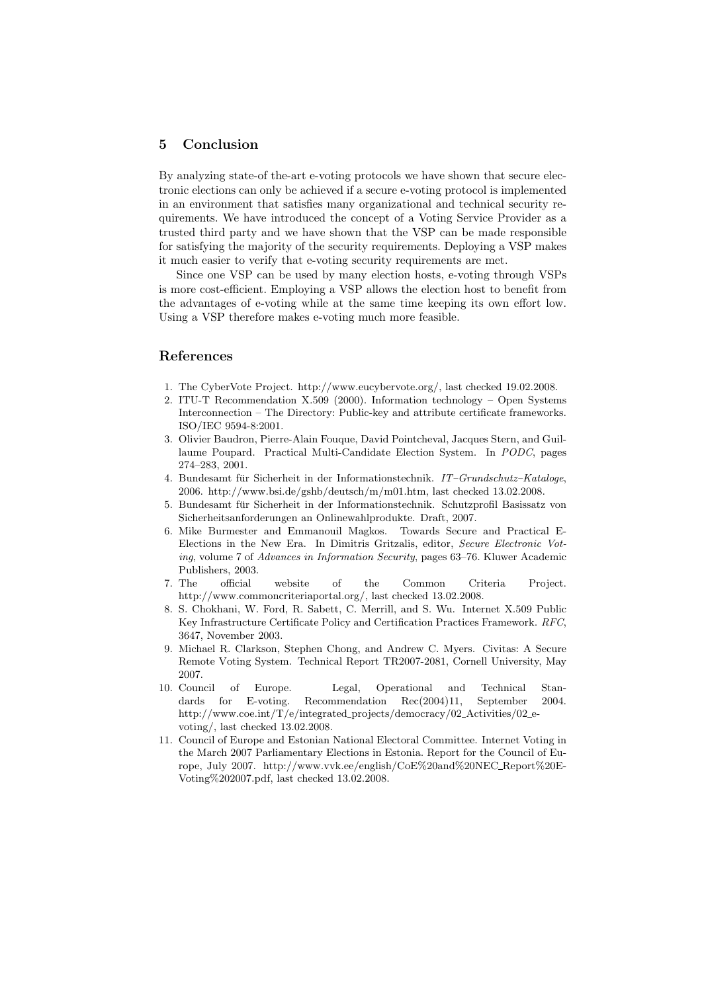## 5 Conclusion

By analyzing state-of the-art e-voting protocols we have shown that secure electronic elections can only be achieved if a secure e-voting protocol is implemented in an environment that satisfies many organizational and technical security requirements. We have introduced the concept of a Voting Service Provider as a trusted third party and we have shown that the VSP can be made responsible for satisfying the majority of the security requirements. Deploying a VSP makes it much easier to verify that e-voting security requirements are met.

Since one VSP can be used by many election hosts, e-voting through VSPs is more cost-efficient. Employing a VSP allows the election host to benefit from the advantages of e-voting while at the same time keeping its own effort low. Using a VSP therefore makes e-voting much more feasible.

## References

- 1. The CyberVote Project. http://www.eucybervote.org/, last checked 19.02.2008.
- 2. ITU-T Recommendation X.509 (2000). Information technology Open Systems Interconnection – The Directory: Public-key and attribute certificate frameworks. ISO/IEC 9594-8:2001.
- 3. Olivier Baudron, Pierre-Alain Fouque, David Pointcheval, Jacques Stern, and Guillaume Poupard. Practical Multi-Candidate Election System. In PODC, pages 274–283, 2001.
- 4. Bundesamt für Sicherheit in der Informationstechnik. IT–Grundschutz–Kataloge, 2006. http://www.bsi.de/gshb/deutsch/m/m01.htm, last checked 13.02.2008.
- 5. Bundesamt fur Sicherheit in der Informationstechnik. Schutzprofil Basissatz von ¨ Sicherheitsanforderungen an Onlinewahlprodukte. Draft, 2007.
- 6. Mike Burmester and Emmanouil Magkos. Towards Secure and Practical E-Elections in the New Era. In Dimitris Gritzalis, editor, Secure Electronic Voting, volume 7 of Advances in Information Security, pages 63–76. Kluwer Academic Publishers, 2003.
- 7. The official website of the Common Criteria Project. http://www.commoncriteriaportal.org/, last checked 13.02.2008.
- 8. S. Chokhani, W. Ford, R. Sabett, C. Merrill, and S. Wu. Internet X.509 Public Key Infrastructure Certificate Policy and Certification Practices Framework. RFC, 3647, November 2003.
- 9. Michael R. Clarkson, Stephen Chong, and Andrew C. Myers. Civitas: A Secure Remote Voting System. Technical Report TR2007-2081, Cornell University, May 2007.
- 10. Council of Europe. Legal, Operational and Technical Standards for E-voting. Recommendation Rec(2004)11, September 2004. http://www.coe.int/T/e/integrated projects/democracy/02 Activities/02 evoting/, last checked 13.02.2008.
- 11. Council of Europe and Estonian National Electoral Committee. Internet Voting in the March 2007 Parliamentary Elections in Estonia. Report for the Council of Europe, July 2007. http://www.vvk.ee/english/CoE%20and%20NEC Report%20E-Voting%202007.pdf, last checked 13.02.2008.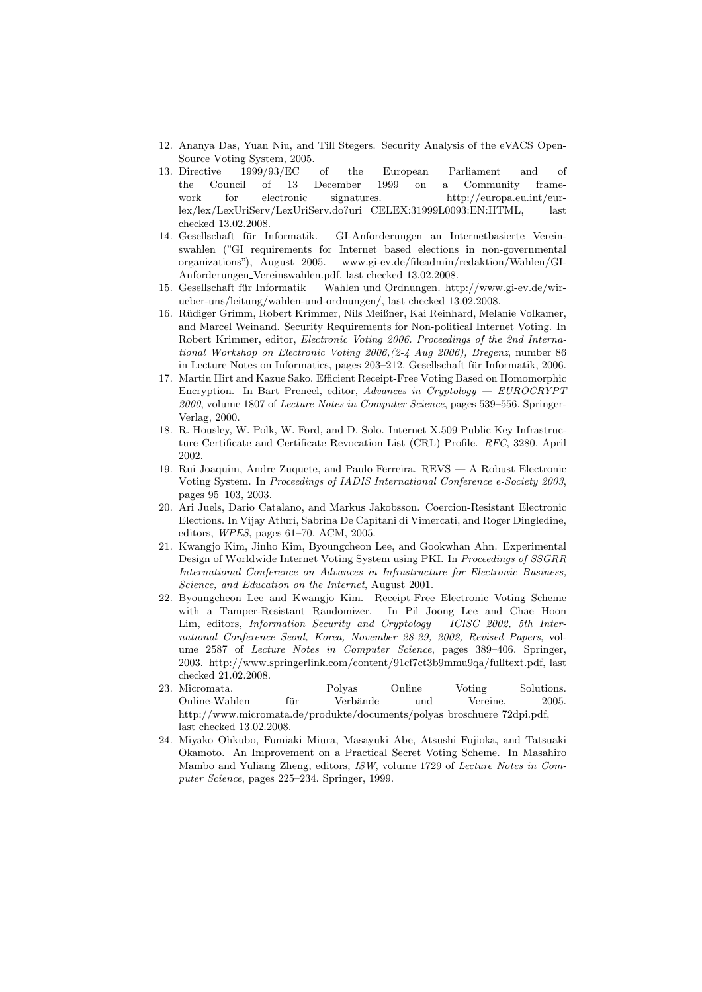- 12. Ananya Das, Yuan Niu, and Till Stegers. Security Analysis of the eVACS Open-Source Voting System, 2005.
- 13. Directive 1999/93/EC of the European Parliament and of the Council of 13 December 1999 on a Community framework for electronic signatures. http://europa.eu.int/eurlex/lex/LexUriServ/LexUriServ.do?uri=CELEX:31999L0093:EN:HTML, last checked 13.02.2008.
- 14. Gesellschaft fur Informatik. GI-Anforderungen an Internetbasierte Verein- ¨ swahlen ("GI requirements for Internet based elections in non-governmental organizations"), August 2005. www.gi-ev.de/fileadmin/redaktion/Wahlen/GI-Anforderungen Vereinswahlen.pdf, last checked 13.02.2008.
- 15. Gesellschaft fur Informatik Wahlen und Ordnungen. http://www.gi-ev.de/wir- ¨ ueber-uns/leitung/wahlen-und-ordnungen/, last checked 13.02.2008.
- 16. Rudiger Grimm, Robert Krimmer, Nils Meißner, Kai Reinhard, Melanie Volkamer, ¨ and Marcel Weinand. Security Requirements for Non-political Internet Voting. In Robert Krimmer, editor, Electronic Voting 2006. Proceedings of the 2nd International Workshop on Electronic Voting 2006,(2-4 Aug 2006), Bregenz, number 86 in Lecture Notes on Informatics, pages 203–212. Gesellschaft für Informatik, 2006.
- 17. Martin Hirt and Kazue Sako. Efficient Receipt-Free Voting Based on Homomorphic Encryption. In Bart Preneel, editor, Advances in Cryptology — EUROCRYPT 2000, volume 1807 of Lecture Notes in Computer Science, pages 539–556. Springer-Verlag, 2000.
- 18. R. Housley, W. Polk, W. Ford, and D. Solo. Internet X.509 Public Key Infrastructure Certificate and Certificate Revocation List (CRL) Profile. RFC, 3280, April 2002.
- 19. Rui Joaquim, Andre Zuquete, and Paulo Ferreira. REVS A Robust Electronic Voting System. In Proceedings of IADIS International Conference e-Society 2003, pages 95–103, 2003.
- 20. Ari Juels, Dario Catalano, and Markus Jakobsson. Coercion-Resistant Electronic Elections. In Vijay Atluri, Sabrina De Capitani di Vimercati, and Roger Dingledine, editors, WPES, pages 61–70. ACM, 2005.
- 21. Kwangjo Kim, Jinho Kim, Byoungcheon Lee, and Gookwhan Ahn. Experimental Design of Worldwide Internet Voting System using PKI. In Proceedings of SSGRR International Conference on Advances in Infrastructure for Electronic Business, Science, and Education on the Internet, August 2001.
- 22. Byoungcheon Lee and Kwangjo Kim. Receipt-Free Electronic Voting Scheme with a Tamper-Resistant Randomizer. In Pil Joong Lee and Chae Hoon Lim, editors, Information Security and Cryptology – ICISC 2002, 5th International Conference Seoul, Korea, November 28-29, 2002, Revised Papers, volume 2587 of Lecture Notes in Computer Science, pages 389–406. Springer, 2003. http://www.springerlink.com/content/91cf7ct3b9mmu9qa/fulltext.pdf, last checked 21.02.2008.
- 23. Micromata. Polyas Online Voting Solutions. Online-Wahlen für Verbände und Vereine, 2005. http://www.micromata.de/produkte/documents/polyas broschuere 72dpi.pdf, last checked 13.02.2008.
- 24. Miyako Ohkubo, Fumiaki Miura, Masayuki Abe, Atsushi Fujioka, and Tatsuaki Okamoto. An Improvement on a Practical Secret Voting Scheme. In Masahiro Mambo and Yuliang Zheng, editors, ISW, volume 1729 of Lecture Notes in Computer Science, pages 225–234. Springer, 1999.